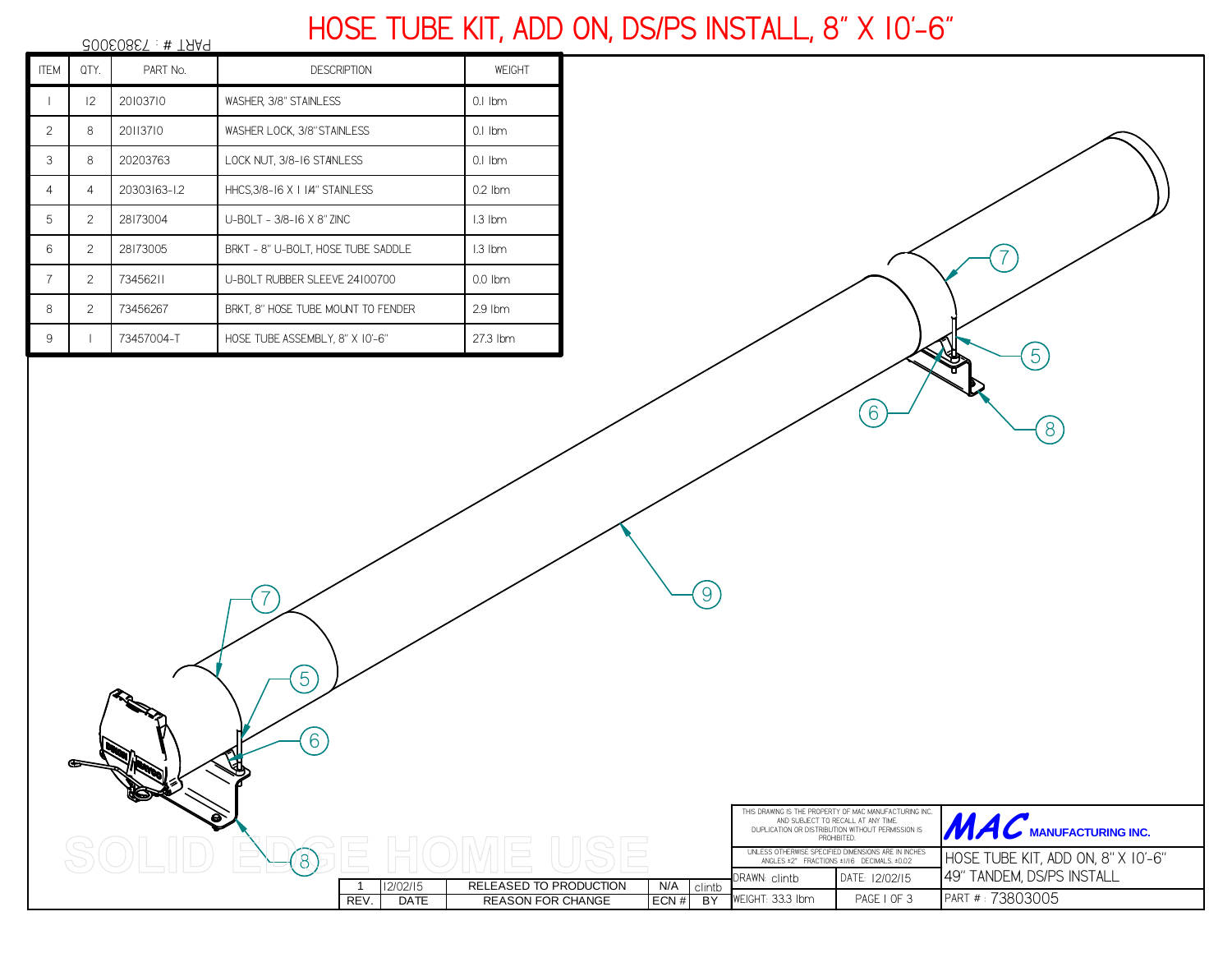## **HOSE TUBE KIT, ADD ON, DS/PS INSTALL, 8" X 10'-6"**

| $30050857 : #$ TAAP |                |              |                                    |           |  |  |  |
|---------------------|----------------|--------------|------------------------------------|-----------|--|--|--|
| <b>ITEM</b>         | QTY.           | PART No.     | <b>DESCRIPTION</b>                 | WEIGHT    |  |  |  |
|                     | 12             | 20103710     | WASHER 3/8" STAINLESS              | $0.1$ Ibm |  |  |  |
| 2                   | 8              | 20113710     | WASHER LOCK, 3/8" STAINLESS        | $0.1$ Ibm |  |  |  |
| 3                   | 8              | 20203763     | LOCK NUT, 3/8-16 STANLESS          | $0.1$ Ibm |  |  |  |
| 4                   | 4              | 20303163-1.2 | HHCS, 3/8-16 X   1/4" STAINLESS    | $0.2$ Ibm |  |  |  |
| 5                   | 2              | 28173004     | U-BOLT - 3/8-16 X 8" ZINC          | I.3 Ibm   |  |  |  |
| 6                   | $\overline{2}$ | 28173005     | BRKT - 8" U-BOLT, HOSE TUBE SADDLE | $1.3$ lbm |  |  |  |
| $\overline{7}$      | 2              | 73456211     | U-BOLT RUBBER SLEEVE 24100700      | $0.0$ lbm |  |  |  |
| 8                   | 2              | 73456267     | BRKT, 8" HOSE TUBE MOUNT TO FENDER | $2.9$ lbm |  |  |  |
| 9                   |                | 73457004-T   | HOSE TUBE ASSEMBLY, 8" X 10'-6"    | 27.3 lbm  |  |  |  |

8

6

5

7

|      |             |                          |       |           | THIS DRAWING IS THE PROPERTY OF MAC MANUFACTURING INC.<br>AND SUBJECT TO RECALL AT ANY TIME.<br>DUPLICATION OR DISTRIBUTION WITHOUT PERMISSION IS<br><b>PROHIBITED</b> |                | <b>AC</b> MANUFACTURING INC.       |
|------|-------------|--------------------------|-------|-----------|------------------------------------------------------------------------------------------------------------------------------------------------------------------------|----------------|------------------------------------|
|      |             |                          |       |           | UNLESS OTHERWISE SPECIFIED DIMENSIONS ARE IN INCHES<br>ANGLES ±2" FRACTIONS ±1/16 DECIMALS. ±0.02                                                                      |                | HOSE TUBE KIT, ADD ON, 8" X 10'-6" |
|      | 12/02/15    | RELEASED TO PRODUCTION   | N/A   | clintb    | DRAWN: clintb                                                                                                                                                          | DATE: 12/02/15 | 49" TANDEM, DS/PS INSTALL          |
| REV. | <b>DATE</b> | <b>REASON FOR CHANGE</b> | ECN # | <b>BY</b> | WEIGHT: 33.3 Ibm                                                                                                                                                       | PAGE I OF 3    | PART # : 73803005                  |

6

8

 $(5)$ 

7

9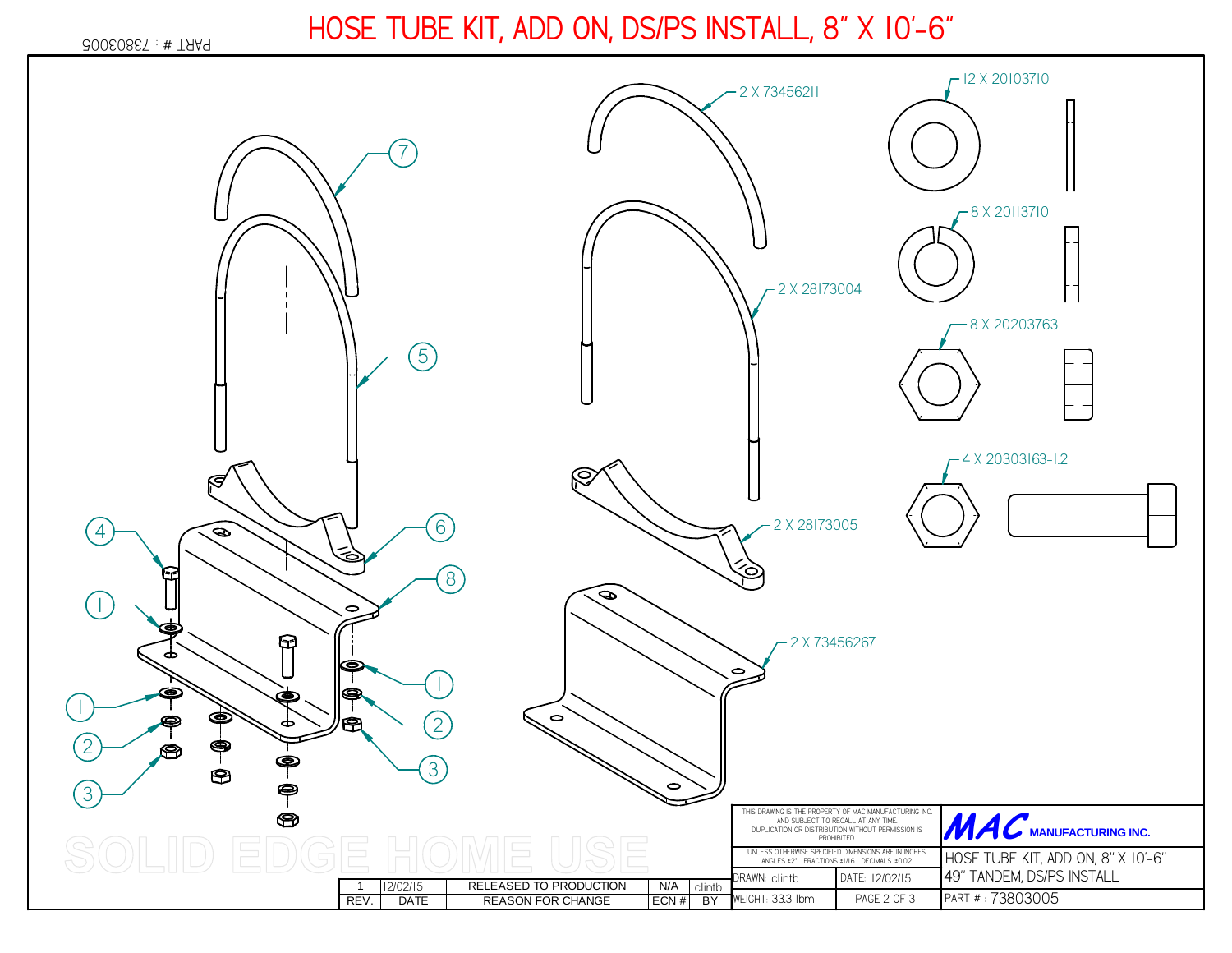## 200208ET: # TAA9

## **HOSE TUBE KIT, ADD ON, DS/PS INSTALL, 8" X 10'-6"**